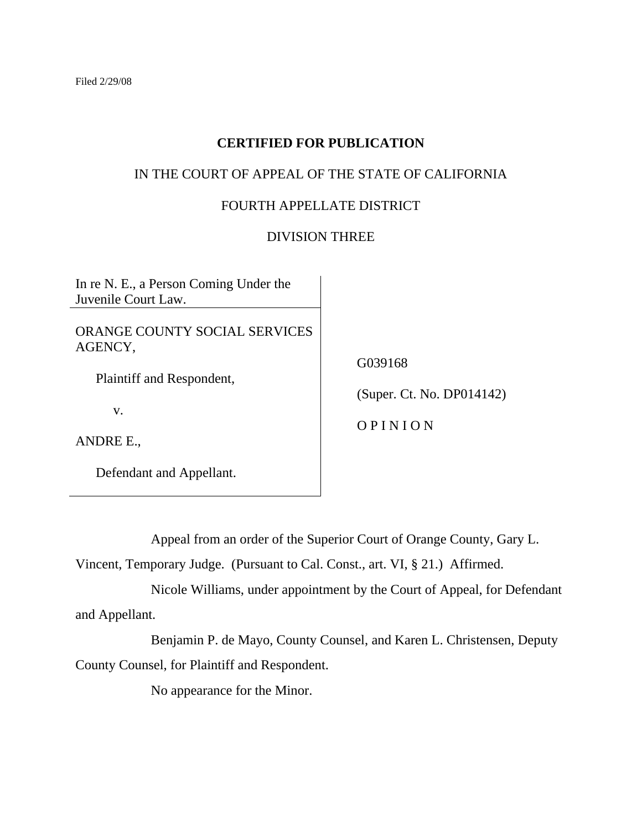# **CERTIFIED FOR PUBLICATION**

# IN THE COURT OF APPEAL OF THE STATE OF CALIFORNIA

## FOURTH APPELLATE DISTRICT

## DIVISION THREE

In re N. E., a Person Coming Under the Juvenile Court Law.

ORANGE COUNTY SOCIAL SERVICES AGENCY,

Plaintiff and Respondent,

v.

ANDRE E.,

Defendant and Appellant.

G039168

(Super. Ct. No. DP014142)

O P I N I O N

Appeal from an order of the Superior Court of Orange County, Gary L.

Vincent, Temporary Judge. (Pursuant to Cal. Const., art. VI, § 21.) Affirmed.

 Nicole Williams, under appointment by the Court of Appeal, for Defendant and Appellant.

 Benjamin P. de Mayo, County Counsel, and Karen L. Christensen, Deputy County Counsel, for Plaintiff and Respondent.

No appearance for the Minor.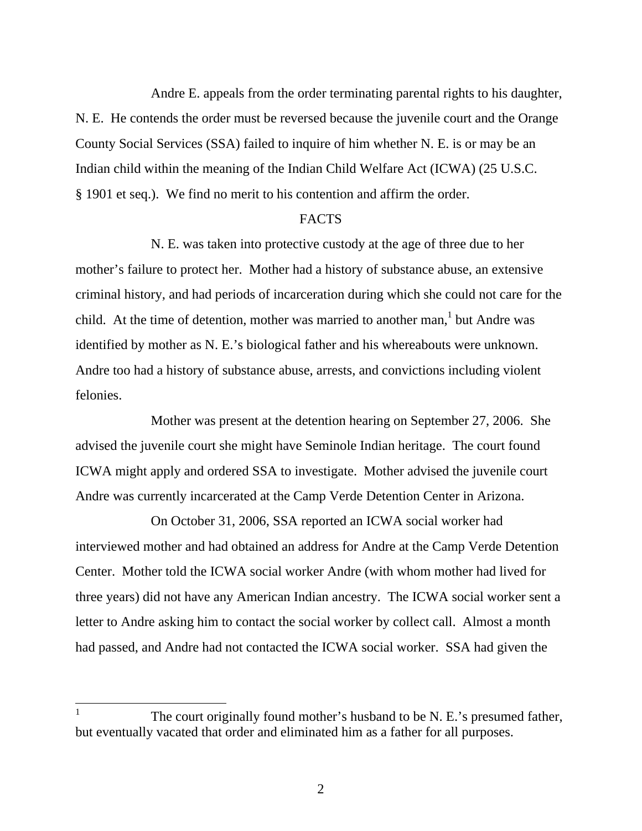Andre E. appeals from the order terminating parental rights to his daughter, N. E. He contends the order must be reversed because the juvenile court and the Orange County Social Services (SSA) failed to inquire of him whether N. E. is or may be an Indian child within the meaning of the Indian Child Welfare Act (ICWA) (25 U.S.C. § 1901 et seq.). We find no merit to his contention and affirm the order.

## FACTS

 N. E. was taken into protective custody at the age of three due to her mother's failure to protect her. Mother had a history of substance abuse, an extensive criminal history, and had periods of incarceration during which she could not care for the child. At the time of detention, mother was married to another man,  $\frac{1}{1}$  but Andre was identified by mother as N. E.'s biological father and his whereabouts were unknown. Andre too had a history of substance abuse, arrests, and convictions including violent felonies.

 Mother was present at the detention hearing on September 27, 2006. She advised the juvenile court she might have Seminole Indian heritage. The court found ICWA might apply and ordered SSA to investigate. Mother advised the juvenile court Andre was currently incarcerated at the Camp Verde Detention Center in Arizona.

 On October 31, 2006, SSA reported an ICWA social worker had interviewed mother and had obtained an address for Andre at the Camp Verde Detention Center. Mother told the ICWA social worker Andre (with whom mother had lived for three years) did not have any American Indian ancestry. The ICWA social worker sent a letter to Andre asking him to contact the social worker by collect call. Almost a month had passed, and Andre had not contacted the ICWA social worker. SSA had given the

 $\overline{\phantom{a}}$ 

<sup>1</sup> The court originally found mother's husband to be N. E.'s presumed father, but eventually vacated that order and eliminated him as a father for all purposes.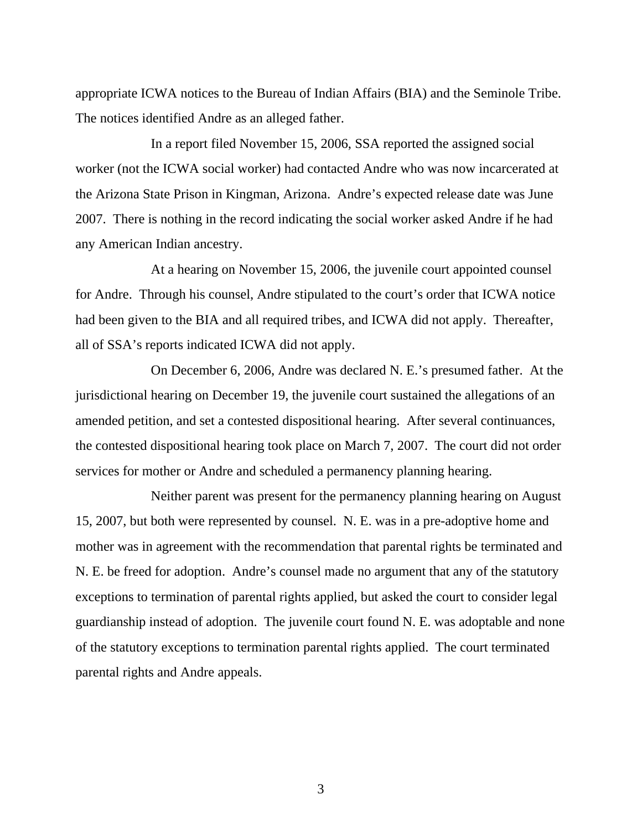appropriate ICWA notices to the Bureau of Indian Affairs (BIA) and the Seminole Tribe. The notices identified Andre as an alleged father.

 In a report filed November 15, 2006, SSA reported the assigned social worker (not the ICWA social worker) had contacted Andre who was now incarcerated at the Arizona State Prison in Kingman, Arizona. Andre's expected release date was June 2007. There is nothing in the record indicating the social worker asked Andre if he had any American Indian ancestry.

 At a hearing on November 15, 2006, the juvenile court appointed counsel for Andre. Through his counsel, Andre stipulated to the court's order that ICWA notice had been given to the BIA and all required tribes, and ICWA did not apply. Thereafter, all of SSA's reports indicated ICWA did not apply.

 On December 6, 2006, Andre was declared N. E.'s presumed father. At the jurisdictional hearing on December 19, the juvenile court sustained the allegations of an amended petition, and set a contested dispositional hearing. After several continuances, the contested dispositional hearing took place on March 7, 2007. The court did not order services for mother or Andre and scheduled a permanency planning hearing.

 Neither parent was present for the permanency planning hearing on August 15, 2007, but both were represented by counsel. N. E. was in a pre-adoptive home and mother was in agreement with the recommendation that parental rights be terminated and N. E. be freed for adoption. Andre's counsel made no argument that any of the statutory exceptions to termination of parental rights applied, but asked the court to consider legal guardianship instead of adoption. The juvenile court found N. E. was adoptable and none of the statutory exceptions to termination parental rights applied. The court terminated parental rights and Andre appeals.

3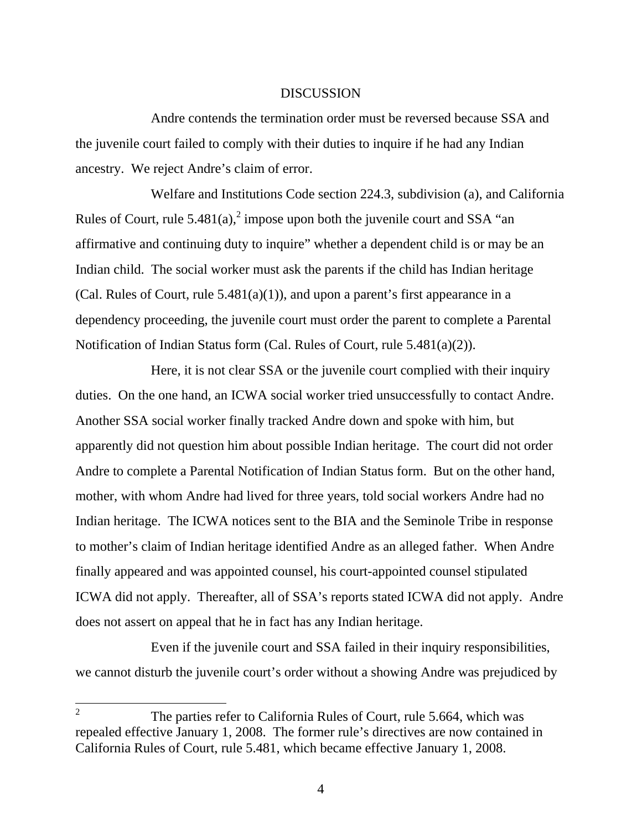### DISCUSSION

 Andre contends the termination order must be reversed because SSA and the juvenile court failed to comply with their duties to inquire if he had any Indian ancestry. We reject Andre's claim of error.

 Welfare and Institutions Code section 224.3, subdivision (a), and California Rules of Court, rule 5.481(a),<sup>2</sup> impose upon both the juvenile court and SSA "an affirmative and continuing duty to inquire" whether a dependent child is or may be an Indian child. The social worker must ask the parents if the child has Indian heritage (Cal. Rules of Court, rule  $5.481(a)(1)$ ), and upon a parent's first appearance in a dependency proceeding, the juvenile court must order the parent to complete a Parental Notification of Indian Status form (Cal. Rules of Court, rule 5.481(a)(2)).

 Here, it is not clear SSA or the juvenile court complied with their inquiry duties. On the one hand, an ICWA social worker tried unsuccessfully to contact Andre. Another SSA social worker finally tracked Andre down and spoke with him, but apparently did not question him about possible Indian heritage. The court did not order Andre to complete a Parental Notification of Indian Status form. But on the other hand, mother, with whom Andre had lived for three years, told social workers Andre had no Indian heritage. The ICWA notices sent to the BIA and the Seminole Tribe in response to mother's claim of Indian heritage identified Andre as an alleged father. When Andre finally appeared and was appointed counsel, his court-appointed counsel stipulated ICWA did not apply. Thereafter, all of SSA's reports stated ICWA did not apply. Andre does not assert on appeal that he in fact has any Indian heritage.

 Even if the juvenile court and SSA failed in their inquiry responsibilities, we cannot disturb the juvenile court's order without a showing Andre was prejudiced by

 $\overline{\phantom{a}}$ 

<sup>2</sup> The parties refer to California Rules of Court, rule 5.664, which was repealed effective January 1, 2008. The former rule's directives are now contained in California Rules of Court, rule 5.481, which became effective January 1, 2008.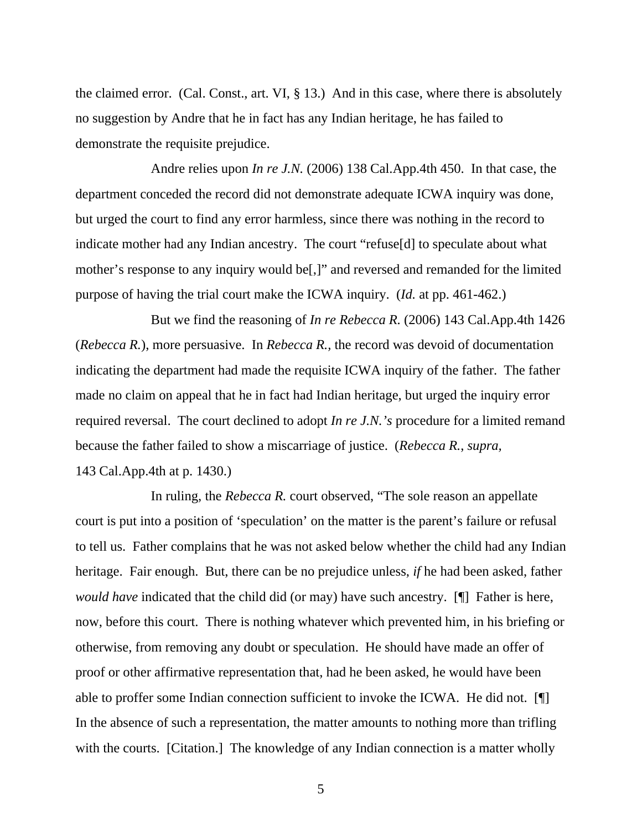the claimed error. (Cal. Const., art. VI, § 13.) And in this case, where there is absolutely no suggestion by Andre that he in fact has any Indian heritage, he has failed to demonstrate the requisite prejudice.

 Andre relies upon *In re J.N.* (2006) 138 Cal.App.4th 450. In that case, the department conceded the record did not demonstrate adequate ICWA inquiry was done, but urged the court to find any error harmless, since there was nothing in the record to indicate mother had any Indian ancestry. The court "refuse[d] to speculate about what mother's response to any inquiry would be[,]" and reversed and remanded for the limited purpose of having the trial court make the ICWA inquiry. (*Id.* at pp. 461-462.)

 But we find the reasoning of *In re Rebecca R.* (2006) 143 Cal.App.4th 1426 (*Rebecca R.*), more persuasive. In *Rebecca R.,* the record was devoid of documentation indicating the department had made the requisite ICWA inquiry of the father. The father made no claim on appeal that he in fact had Indian heritage, but urged the inquiry error required reversal. The court declined to adopt *In re J.N.'s* procedure for a limited remand because the father failed to show a miscarriage of justice. (*Rebecca R.*, *supra,* 143 Cal.App.4th at p. 1430.)

 In ruling, the *Rebecca R.* court observed, "The sole reason an appellate court is put into a position of 'speculation' on the matter is the parent's failure or refusal to tell us. Father complains that he was not asked below whether the child had any Indian heritage. Fair enough. But, there can be no prejudice unless, *if* he had been asked, father *would have* indicated that the child did (or may) have such ancestry. [I] Father is here, now, before this court. There is nothing whatever which prevented him, in his briefing or otherwise, from removing any doubt or speculation. He should have made an offer of proof or other affirmative representation that, had he been asked, he would have been able to proffer some Indian connection sufficient to invoke the ICWA. He did not. [¶] In the absence of such a representation, the matter amounts to nothing more than trifling with the courts. [Citation.] The knowledge of any Indian connection is a matter wholly

5